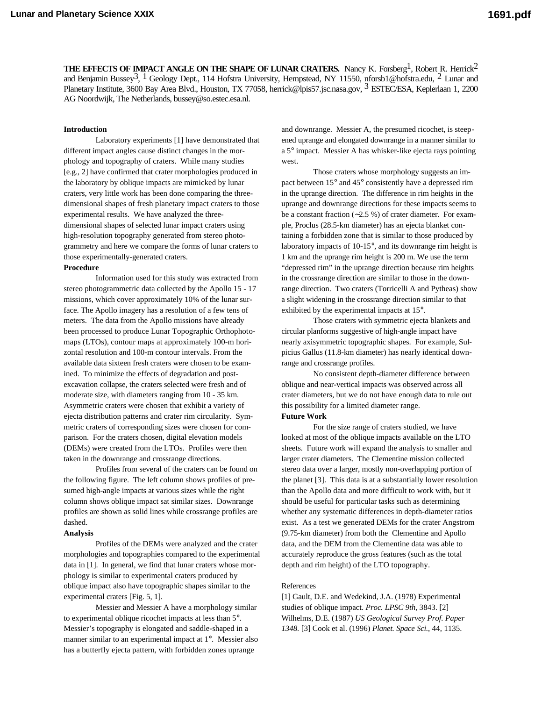**THE EFFECTS OF IMPACT ANGLE ON THE SHAPE OF LUNAR CRATERS.** Nancy K. Forsberg<sup>1</sup>, Robert R. Herrick<sup>2</sup> and Benjamin Bussey<sup>3</sup>, <sup>1</sup> Geology Dept., 114 Hofstra University, Hempstead, NY 11550, nforsb1@hofstra.edu, <sup>2</sup> Lunar and Planetary Institute, 3600 Bay Area Blvd., Houston, TX 77058, herrick@lpis57.jsc.nasa.gov, <sup>3</sup> ESTEC/ESA, Keplerlaan 1, 2200 AG Noordwijk, The Netherlands, bussey@so.estec.esa.nl.

## **Introduction**

Laboratory experiments [1] have demonstrated that different impact angles cause distinct changes in the morphology and topography of craters. While many studies [e.g., 2] have confirmed that crater morphologies produced in the laboratory by oblique impacts are mimicked by lunar craters, very little work has been done comparing the threedimensional shapes of fresh planetary impact craters to those experimental results. We have analyzed the threedimensional shapes of selected lunar impact craters using high-resolution topography generated from stereo photogrammetry and here we compare the forms of lunar craters to those experimentally-generated craters.

# **Procedure**

Information used for this study was extracted from stereo photogrammetric data collected by the Apollo 15 - 17 missions, which cover approximately 10% of the lunar surface. The Apollo imagery has a resolution of a few tens of meters. The data from the Apollo missions have already been processed to produce Lunar Topographic Orthophotomaps (LTOs), contour maps at approximately 100-m horizontal resolution and 100-m contour intervals. From the available data sixteen fresh craters were chosen to be examined. To minimize the effects of degradation and postexcavation collapse, the craters selected were fresh and of moderate size, with diameters ranging from 10 - 35 km. Asymmetric craters were chosen that exhibit a variety of ejecta distribution patterns and crater rim circularity. Symmetric craters of corresponding sizes were chosen for comparison. For the craters chosen, digital elevation models (DEMs) were created from the LTOs. Profiles were then taken in the downrange and crossrange directions.

Profiles from several of the craters can be found on the following figure. The left column shows profiles of presumed high-angle impacts at various sizes while the right column shows oblique impact sat similar sizes. Downrange profiles are shown as solid lines while crossrange profiles are dashed.

#### **Analysis**

Profiles of the DEMs were analyzed and the crater morphologies and topographies compared to the experimental data in [1]. In general, we find that lunar craters whose morphology is similar to experimental craters produced by oblique impact also have topographic shapes similar to the experimental craters [Fig. 5, 1].

Messier and Messier A have a morphology similar to experimental oblique ricochet impacts at less than 5°. Messier's topography is elongated and saddle-shaped in a manner similar to an experimental impact at 1°. Messier also has a butterfly ejecta pattern, with forbidden zones uprange

and downrange. Messier A, the presumed ricochet, is steepened uprange and elongated downrange in a manner similar to a 5° impact. Messier A has whisker-like ejecta rays pointing west.

Those craters whose morphology suggests an impact between 15° and 45° consistently have a depressed rim in the uprange direction. The difference in rim heights in the uprange and downrange directions for these impacts seems to be a constant fraction (∼2.5 %) of crater diameter. For example, Proclus (28.5-km diameter) has an ejecta blanket containing a forbidden zone that is similar to those produced by laboratory impacts of 10-15°, and its downrange rim height is 1 km and the uprange rim height is 200 m. We use the term "depressed rim" in the uprange direction because rim heights in the crossrange direction are similar to those in the downrange direction. Two craters (Torricelli A and Pytheas) show a slight widening in the crossrange direction similar to that exhibited by the experimental impacts at 15°.

Those craters with symmetric ejecta blankets and circular planforms suggestive of high-angle impact have nearly axisymmetric topographic shapes. For example, Sulpicius Gallus (11.8-km diameter) has nearly identical downrange and crossrange profiles.

No consistent depth-diameter difference between oblique and near-vertical impacts was observed across all crater diameters, but we do not have enough data to rule out this possibility for a limited diameter range.

# **Future Work**

For the size range of craters studied, we have looked at most of the oblique impacts available on the LTO sheets. Future work will expand the analysis to smaller and larger crater diameters. The Clementine mission collected stereo data over a larger, mostly non-overlapping portion of the planet [3]. This data is at a substantially lower resolution than the Apollo data and more difficult to work with, but it should be useful for particular tasks such as determining whether any systematic differences in depth-diameter ratios exist. As a test we generated DEMs for the crater Angstrom (9.75-km diameter) from both the Clementine and Apollo data, and the DEM from the Clementine data was able to accurately reproduce the gross features (such as the total depth and rim height) of the LTO topography.

### References

[1] Gault, D.E. and Wedekind, J.A. (1978) Experimental studies of oblique impact. *Proc. LPSC 9th*, 3843. [2] Wilhelms, D.E. (1987) *US Geological Survey Prof. Paper 1348.* [3] Cook et al. (1996) *Planet. Space Sci.*, 44, 1135.